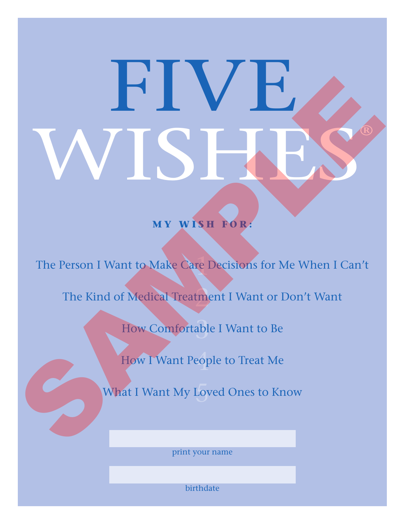# **FIV** WISHES® NE SAMPLE CAPE Decisions for Me When I Can't<br>The Person I Want to Make Care Decisions for Me When I Can't<br>The Kind of Medical Treatment I Want or Don't Want<br>How Comfortable I Want to Be<br>How I Want People to Treat Me<br>What I

**MY WISH FOR:**

re l The Person I Want to Make Care Decisions for Me When I Can't

 $\frac{1}{2}$ The Kind of Medical Treatment I Want or Don't Want

> abl How Comfortable I Want to Be

> $e^{i\theta}$ How I Want People to Treat Me

 $\overline{\text{C}}$ What I Want My Loved Ones to Know

print your name

birthdate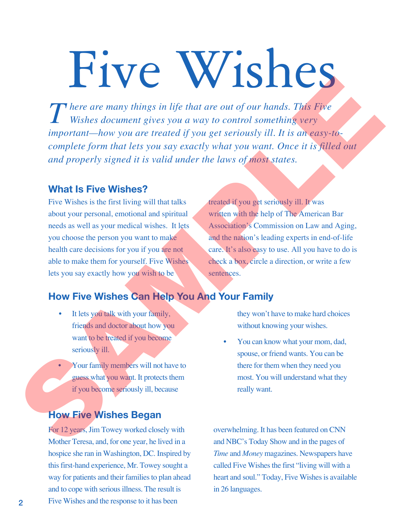## Five Wishes

*T here are many things in life that are out of our hands. This Five* Wishes documents: *Wishes document gives you a way to control something very important—how you are treated if you get seriously ill*. *It is an easy-tocomplete form that lets you say exactly what you want. Once it is filled out and properly signed it is valid under the laws of most states.* There are many things in life that are out of our hands. This Five<br>inportant the computer system is in the two you are treated if you get scributely like its an easy to<br>complete form that lets you are readed if you get scr

#### **What Is Five Wishes?**

Five Wishes is the first living will that talks about your personal, emotional and spiritual needs as well as your medical wishes. It lets you choose the person you want to make health care decisions for you if you are not able to make them for yourself. Five Wishes lets you say exactly how you wish to be

treated if you get seriously ill. It was written with the help of The American Bar Association's Commission on Law and Aging, and the nation's leading experts in end-of-life care. It's also easy to use. All you have to do is check a box, circle a direction, or write a few sentences.

#### **How Five Wishes Can Help You And Your Family**

- It lets you talk with your family, friends and doctor about how you want to be treated if you become seriously ill.
- Your family members will not have to guess what you want. It protects them if you become seriously ill, because

#### **How Five Wishes Began**

For 12 years, Jim Towey worked closely with Mother Teresa, and, for one year, he lived in a hospice she ran in Washington, DC. Inspired by this first-hand experience, Mr. Towey sought a way for patients and their families to plan ahead and to cope with serious illness. The result is Five Wishes and the response to it has been

they won't have to make hard choices without knowing your wishes.

 • You can know what your mom, dad, spouse, or friend wants. You can be there for them when they need you most. You will understand what they really want.

overwhelming. It has been featured on CNN and NBC's Today Show and in the pages of *Time* and *Money* magazines. Newspapers have called Five Wishes the first "living will with a heart and soul." Today, Five Wishes is available in 26 languages.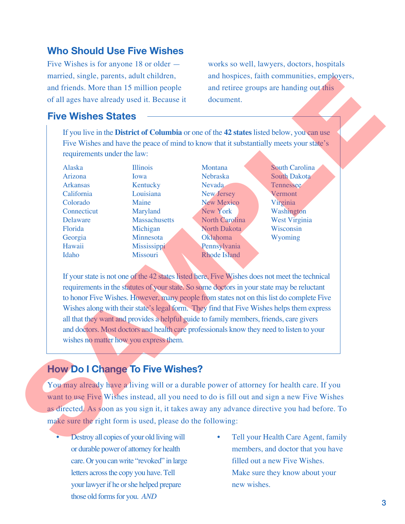#### **Who Should Use Five Wishes**

Five Wishes is for anyone 18 or older married, single, parents, adult children, and friends. More than 15 million people of all ages have already used it. Because it works so well, lawyers, doctors, hospitals and hospices, faith communities, employers, and retiree groups are handing out this document.

#### **Five Wishes States**

If you live in the **District of Columbia** or one of the **42 states** listed below, you can use Five Wishes and have the peace of mind to know that it substantially meets your state's requirements under the law:

Alaska Arizona Arkansas California Colorado **Connecticut** Delaware Florida Georgia Hawaii Idaho

Illinois Iowa Kentucky Louisiana Maine Maryland **Massachusetts** Michigan Minnesota **Mississippi** Missouri

Montana Nebraska Nevada New Jersey New Mexico New York North Carolina North Dakota Oklahoma Pennsylvania Rhode Island

South Carolina South Dakota **Tennessee** Vermont Virginia Washington West Virginia Wisconsin Wyoming

If your state is not one of the 42 states listed here, Five Wishes does not meet the technical requirements in the statutes of your state. So some doctors in your state may be reluctant to honor Five Wishes. However, many people from states not on this list do complete Five Wishes along with their state's legal form. They find that Five Wishes helps them express all that they want and provides a helpful guide to family members, friends, care givers and doctors. Most doctors and health care professionals know they need to listen to your wishes no matter how you express them. marine, signe, particular, and the space of the space of the space of the space of the space of the space of the space of the space of the space of the space of the space of the space of the space of the space of the space

#### **How Do I Change To Five Wishes?**

You may already have a living will or a durable power of attorney for health care. If you want to use Five Wishes instead, all you need to do is fill out and sign a new Five Wishes as directed. As soon as you sign it, it takes away any advance directive you had before. To make sure the right form is used, please do the following:

- Destroy all copies of your old living will or durable power of attorney for health care. Or you can write "revoked" in large letters across the copy you have. Tell your lawyer if he or she helped prepare those old forms for you. *AND*
- Tell your Health Care Agent, family members, and doctor that you have filled out a new Five Wishes. Make sure they know about your new wishes.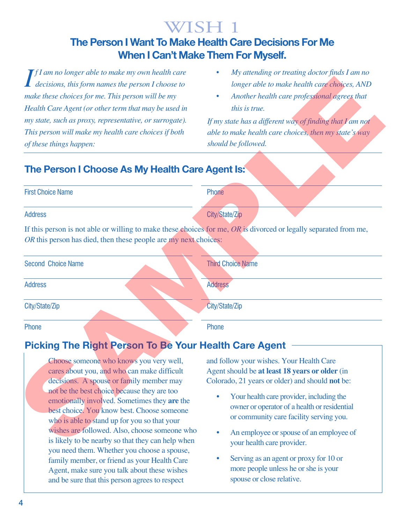

#### **The Person I Want To Make Health Care Decisions For Me When I Can't Make Them For Myself.**

*I decisions, this form names the person I choose to decisions, this form names the person I choose to f I am no longer able to make my own health care make these choices for me. This person will be my Health Care Agent (or other term that may be used in my state, such as proxy, representative, or surrogate). This person will make my health care choices if both of these things happen:*

- *My attending or treating doctor finds I am no longer able to make health care choices, AND*
- *Another health care professional agrees that this is true.*

#### **The Person I Choose As My Health Care Agent Is:**

| $\blacktriangle$ decisions, this form names the person I choose to<br>make these choices for me. This person will be my<br>Health Care Agent (or other term that may be used in<br>my state, such as proxy, representative, or surrogate).<br>This person will make my health care choices if both | longer able to make health care choices, AND<br>Another health care professional agrees that<br>$\bullet$<br>this is true.<br>If my state has a different way of finding that $I$ am not<br>able to make health care choices, then my state's way                                    |
|----------------------------------------------------------------------------------------------------------------------------------------------------------------------------------------------------------------------------------------------------------------------------------------------------|--------------------------------------------------------------------------------------------------------------------------------------------------------------------------------------------------------------------------------------------------------------------------------------|
| of these things happen:                                                                                                                                                                                                                                                                            | should be followed.                                                                                                                                                                                                                                                                  |
| The Person I Choose As My Health Care Agent Is:                                                                                                                                                                                                                                                    |                                                                                                                                                                                                                                                                                      |
| <b>First Choice Name</b>                                                                                                                                                                                                                                                                           | Phone                                                                                                                                                                                                                                                                                |
| <b>Address</b>                                                                                                                                                                                                                                                                                     | City/State/Zip                                                                                                                                                                                                                                                                       |
| If this person is not able or willing to make these choices for me, $OR$ is divorced or legally separated from me,<br>OR this person has died, then these people are my next choices:<br><b>Second Choice Name</b>                                                                                 | <b>Third Choice Name</b>                                                                                                                                                                                                                                                             |
| <b>Address</b>                                                                                                                                                                                                                                                                                     | <b>Address</b>                                                                                                                                                                                                                                                                       |
| City/State/Zip                                                                                                                                                                                                                                                                                     | City/State/Zip                                                                                                                                                                                                                                                                       |
| Phone                                                                                                                                                                                                                                                                                              | Phone                                                                                                                                                                                                                                                                                |
| <b>Picking The Right Person To Be Your Health Care Agent</b>                                                                                                                                                                                                                                       |                                                                                                                                                                                                                                                                                      |
| Choose someone who knows you very well,<br>cares about you, and who can make difficult<br>decisions. A spouse or family member may<br>not be the best choice because they are too<br>emotionally involved. Sometimes they are the<br>best choice. You know best. Choose someone                    | and follow your wishes. Your Health Care<br>Agent should be at least 18 years or older (in<br>Colorado, 21 years or older) and should not be:<br>Your health care provider, including the<br>owner or operator of a health or residential<br>or community care facility serving you. |
| who is able to stand up for you so that your<br>wishes are followed. Also, choose someone who<br>is likely to be nearby so that they can help when                                                                                                                                                 | An employee or spouse of an employee of<br>your health care provider.                                                                                                                                                                                                                |

| <b>Second Choice Name</b> |  | <b>Third Choice Name</b> |
|---------------------------|--|--------------------------|
| <b>Address</b>            |  | <b>Address</b>           |
| City/State/Zip            |  | City/State/Zip           |
| Phone                     |  | Phone                    |

#### **Picking The Right Person To Be Your Health Care Agent**

Choose someone who knows you very well, cares about you, and who can make difficult decisions. A spouse or family member may not be the best choice because they are too emotionally involved. Sometimes they **are** the best choice. You know best. Choose someone who is able to stand up for you so that your wishes are followed. Also, choose someone who is likely to be nearby so that they can help when you need them. Whether you choose a spouse, family member, or friend as your Health Care Agent, make sure you talk about these wishes and be sure that this person agrees to respect

- Your health care provider, including the owner or operator of a health or residential or community care facility serving you.
- An employee or spouse of an employee of your health care provider.
- Serving as an agent or proxy for 10 or more people unless he or she is your spouse or close relative.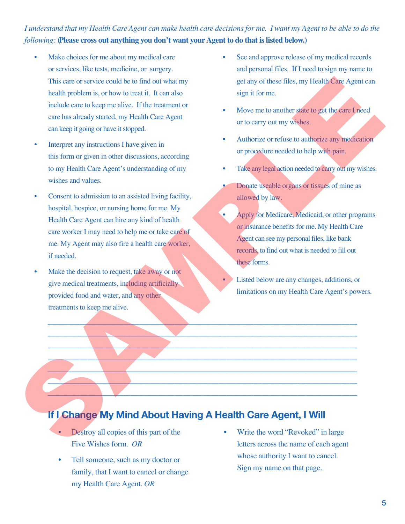*I understand that my Health Care Agent can make health care decisions for me. I want my Agent to be able to do the following:* **(Please cross out anything you don't want your Agent to do that is listed below.)** 

- Make choices for me about my medical care or services, like tests, medicine, or surgery. This care or service could be to find out what my health problem is, or how to treat it. It can also include care to keep me alive. If the treatment or care has already started, my Health Care Agent can keep it going or have it stopped.
- Interpret any instructions I have given in this form or given in other discussions, according to my Health Care Agent's understanding of my wishes and values.
- Consent to admission to an assisted living facility, hospital, hospice, or nursing home for me. My Health Care Agent can hire any kind of health care worker I may need to help me or take care of me. My Agent may also fire a health care worker, if needed. This case of series could be to lind out what any the stars of these tax, my Health Care Agent can include care to be presented to be provide the stars and the stars and scheme of the stars and the stars are the stars and
	- Make the decision to request, take away or not give medical treatments, including artificiallyprovided food and water, and any other treatments to keep me alive.
- See and approve release of my medical records and personal files. If I need to sign my name to get any of these files, my Health Care Agent can sign it for me.
- Move me to another state to get the care I need or to carry out my wishes.
- Authorize or refuse to authorize any medication or procedure needed to help with pain.
- Take any legal action needed to carry out my wishes.
- Donate useable organs or tissues of mine as allowed by law.
	- Apply for Medicare, Medicaid, or other programs or insurance benefits for me. My Health Care Agent can see my personal files, like bank records, to find out what is needed to fill out these forms.
- Listed below are any changes, additions, or limitations on my Health Care Agent's powers.

#### **If I Change My Mind About Having A Health Care Agent, I Will**

\_\_\_\_\_\_\_\_\_\_\_\_\_\_\_\_\_\_\_\_\_\_\_\_\_\_\_\_\_\_\_\_\_\_\_\_\_\_\_\_\_\_\_\_\_\_\_\_\_\_\_\_\_\_\_\_\_\_\_\_\_\_\_\_\_\_\_\_\_\_\_\_\_\_\_\_\_\_ \_\_\_\_\_\_\_\_\_\_\_\_\_\_\_\_\_\_\_\_\_\_\_\_\_\_\_\_\_\_\_\_\_\_\_\_\_\_\_\_\_\_\_\_\_\_\_\_\_\_\_\_\_\_\_\_\_\_\_\_\_\_\_\_\_\_\_\_\_\_\_\_\_\_\_\_\_\_  $\_\_\_\_\_\_\_\_\_$  $\mathcal{L}=\mathcal{L}=\mathcal{L}=\mathcal{L}=\mathcal{L}=\mathcal{L}=\mathcal{L}=\mathcal{L}=\mathcal{L}=\mathcal{L}=\mathcal{L}=\mathcal{L}=\mathcal{L}=\mathcal{L}=\mathcal{L}=\mathcal{L}=\mathcal{L}=\mathcal{L}=\mathcal{L}=\mathcal{L}=\mathcal{L}=\mathcal{L}=\mathcal{L}=\mathcal{L}=\mathcal{L}=\mathcal{L}=\mathcal{L}=\mathcal{L}=\mathcal{L}=\mathcal{L}=\mathcal{L}=\mathcal{L}=\mathcal{L}=\mathcal{L}=\mathcal{L}=\mathcal{L}=\mathcal{$  $\mathcal{L}=\mathcal{L}=\mathcal{L}=\mathcal{L}=\mathcal{L}=\mathcal{L}=\mathcal{L}=\mathcal{L}=\mathcal{L}=\mathcal{L}=\mathcal{L}=\mathcal{L}=\mathcal{L}=\mathcal{L}=\mathcal{L}=\mathcal{L}=\mathcal{L}=\mathcal{L}=\mathcal{L}=\mathcal{L}=\mathcal{L}=\mathcal{L}=\mathcal{L}=\mathcal{L}=\mathcal{L}=\mathcal{L}=\mathcal{L}=\mathcal{L}=\mathcal{L}=\mathcal{L}=\mathcal{L}=\mathcal{L}=\mathcal{L}=\mathcal{L}=\mathcal{L}=\mathcal{L}=\mathcal{$ \_\_\_\_\_\_\_\_\_\_\_\_\_\_\_\_\_\_\_\_\_\_\_\_\_\_\_\_\_\_\_\_\_\_\_\_\_\_\_\_\_\_\_\_\_\_\_\_\_\_\_\_\_\_\_\_\_\_\_\_\_\_\_\_\_\_\_\_\_\_\_\_\_\_\_\_\_\_  $\mathcal{L} = \{ \mathcal{L} \mid \mathcal{L} \text{ and } \mathcal{L} \text{ and } \mathcal{L} \}$ 

- Destroy all copies of this part of the Five Wishes form. *OR*
- Tell someone, such as my doctor or family, that I want to cancel or change my Health Care Agent. *OR*
- Write the word "Revoked" in large letters across the name of each agent whose authority I want to cancel. Sign my name on that page.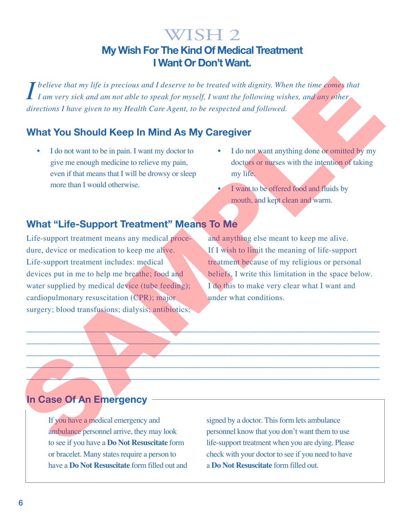#### WISH 2

#### **My Wish For The Kind Of Medical Treatment I Want Or Don't Want.**

\_\_\_\_\_\_\_\_\_\_\_\_\_\_\_\_\_\_\_\_\_\_\_\_\_\_\_\_\_\_\_\_\_\_\_\_\_\_\_\_\_\_\_\_\_\_\_\_\_\_\_\_\_\_\_\_\_\_\_\_\_\_\_\_\_\_\_\_\_\_\_\_\_\_\_\_\_\_\_\_\_\_\_\_\_\_\_\_\_ \_\_\_\_\_\_\_\_\_\_\_\_\_\_\_\_\_\_\_\_\_\_\_\_\_\_\_\_\_\_\_\_\_\_\_\_\_\_\_\_\_\_\_\_\_\_\_\_\_\_\_\_\_\_\_\_\_\_\_\_\_\_\_\_\_\_\_\_\_\_\_\_\_\_\_\_\_\_\_\_\_\_\_\_\_\_\_\_\_ \_\_\_\_\_\_\_\_\_\_\_\_\_\_\_\_\_\_\_\_\_\_\_\_\_\_\_\_\_\_\_\_\_\_\_\_\_\_\_\_\_\_\_\_\_\_\_\_\_\_\_\_\_\_\_\_\_\_\_\_\_\_\_\_\_\_\_\_\_\_\_\_\_\_\_\_\_\_\_\_\_\_\_\_\_\_\_\_\_  $\mathcal{L}_\mathcal{L} = \mathcal{L}_\mathcal{L}$  , where  $\mathcal{L}_\mathcal{L}$  is the contribution of the contribution of the contribution of the contribution of the contribution of the contribution of the contribution of the contribution of the con  $\mathcal{L}=\mathcal{L}=\mathcal{L}=\mathcal{L}=\mathcal{L}=\mathcal{L}=\mathcal{L}=\mathcal{L}=\mathcal{L}=\mathcal{L}=\mathcal{L}=\mathcal{L}=\mathcal{L}=\mathcal{L}=\mathcal{L}=\mathcal{L}=\mathcal{L}=\mathcal{L}=\mathcal{L}=\mathcal{L}=\mathcal{L}=\mathcal{L}=\mathcal{L}=\mathcal{L}=\mathcal{L}=\mathcal{L}=\mathcal{L}=\mathcal{L}=\mathcal{L}=\mathcal{L}=\mathcal{L}=\mathcal{L}=\mathcal{L}=\mathcal{L}=\mathcal{L}=\mathcal{L}=\mathcal{$ 

*I* believe that my life is precious and I deserve to be treated with dignity. When the time comes that <br>I am very sick and am not able to speak for myself, I want the following wishes, and any other *I am very sick and am not able to speak for myself, I want the following wishes, and any other directions I have given to my Health Care Agent, to be respected and followed.*

#### **What You Should Keep In Mind As My Caregiver**

- I do not want to be in pain. I want my doctor to give me enough medicine to relieve my pain, even if that means that I will be drowsy or sleep more than I would otherwise.
- I do not want anything done or omitted by my doctors or nurses with the intention of taking my life.
- I want to be offered food and fluids by mouth, and kept clean and warm.

#### **What "Life-Support Treatment" Means To Me**

Life-support treatment means any medical procedure, device or medication to keep me alive. Life-support treatment includes: medical devices put in me to help me breathe; food and water supplied by medical device (tube feeding); cardiopulmonary resuscitation (CPR); major surgery; blood transfusions; dialysis; antibiotics; *The line of that we wand an on all detective to be treated with dignity. When the time spin side of languary side and an on all detections I have given the any island to speed, for myself, want the dilowing wides, on fro* 

and anything else meant to keep me alive. If I wish to limit the meaning of life-support treatment because of my religious or personal beliefs, I write this limitation in the space below. I do this to make very clear what I want and under what conditions.

#### **In Case Of An Emergency**

If you have a medical emergency and ambulance personnel arrive, they may look to see if you have a **Do Not Resuscitate** form or bracelet. Many states require a person to have a **Do Not Resuscitate** form filled out and

signed by a doctor. This form lets ambulance personnel know that you don't want them to use life-support treatment when you are dying. Please check with your doctor to see if you need to have a **Do Not Resuscitate** form filled out.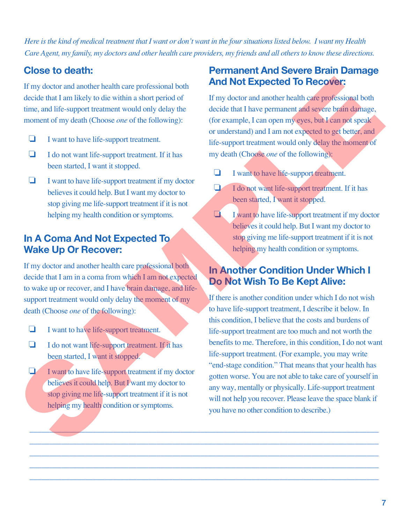*Here is the kind of medical treatment that I want or don't want in the four situations listed below. I want my Health Care Agent, my family, my doctors and other health care providers, my friends and all others to know these directions.*

 $\mathcal{L}=\mathcal{L}=\mathcal{L}=\mathcal{L}=\mathcal{L}=\mathcal{L}=\mathcal{L}=\mathcal{L}=\mathcal{L}=\mathcal{L}=\mathcal{L}=\mathcal{L}=\mathcal{L}=\mathcal{L}=\mathcal{L}=\mathcal{L}=\mathcal{L}=\mathcal{L}=\mathcal{L}=\mathcal{L}=\mathcal{L}=\mathcal{L}=\mathcal{L}=\mathcal{L}=\mathcal{L}=\mathcal{L}=\mathcal{L}=\mathcal{L}=\mathcal{L}=\mathcal{L}=\mathcal{L}=\mathcal{L}=\mathcal{L}=\mathcal{L}=\mathcal{L}=\mathcal{L}=\mathcal{$  $\_$  , and the set of the set of the set of the set of the set of the set of the set of the set of the set of the set of the set of the set of the set of the set of the set of the set of the set of the set of the set of th  $\_$  , and the set of the set of the set of the set of the set of the set of the set of the set of the set of the set of the set of the set of the set of the set of the set of the set of the set of the set of the set of th  $\_$  , and the set of the set of the set of the set of the set of the set of the set of the set of the set of the set of the set of the set of the set of the set of the set of the set of the set of the set of the set of th  $\_$  , and the set of the set of the set of the set of the set of the set of the set of the set of the set of the set of the set of the set of the set of the set of the set of the set of the set of the set of the set of th

#### **Close to death:**

If my doctor and another health care professional both decide that I am likely to die within a short period of time, and life-support treatment would only delay the moment of my death (Choose *one* of the following):

- I want to have life-support treatment.
- $\Box$  I do not want life-support treatment. If it has been started, I want it stopped.
- $\Box$  I want to have life-support treatment if my doctor believes it could help. But I want my doctor to stop giving me life-support treatment if it is not helping my health condition or symptoms.

#### **In A Coma And Not Expected To Wake Up Or Recover:**

If my doctor and another health care professional both decide that I am in a coma from which I am not expected to wake up or recover, and I have brain damage, and lifesupport treatment would only delay the moment of my death (Choose *one* of the following):

- I want to have life-support treatment.
- $\Box$  I do not want life-support treatment. If it has been started, I want it stopped.
- $\Box$  I want to have life-support treatment if my doctor believes it could help. But I want my doctor to stop giving me life-support treatment if it is not helping my health condition or symptoms.

#### **Permanent And Severe Brain Damage And Not Expected To Recover:**

If my doctor and another health care professional both decide that I have permanent and severe brain damage, (for example, I can open my eyes, but I can not speak) or understand) and I am not expected to get better, and life-support treatment would only delay the moment of my death (Choose *one* of the following):

- I want to have life-support treatment.
- $\Box$  I do not want life-support treatment. If it has been started, I want it stopped.
- $\Box$  I want to have life-support treatment if my doctor believes it could help. But I want my doctor to stop giving me life-support treatment if it is not helping my health condition or symptoms.

#### **In Another Condition Under Which I Do Not Wish To Be Kept Alive:**

If there is another condition under which I do not wish to have life-support treatment, I describe it below. In this condition, I believe that the costs and burdens of life-support treatment are too much and not worth the benefits to me. Therefore, in this condition, I do not want life-support treatment. (For example, you may write "end-stage condition." That means that your health has gotten worse. You are not able to take care of yourself in any way, mentally or physically. Life-support treatment will not help you recover. Please leave the space blank if you have no other condition to describe.) Fmy decire and another health care professional bank<br>
decide that I have professional both<br>
decide that I have been and only delay to the will consider a decide that I have permanent and several both<br>
decide that I have b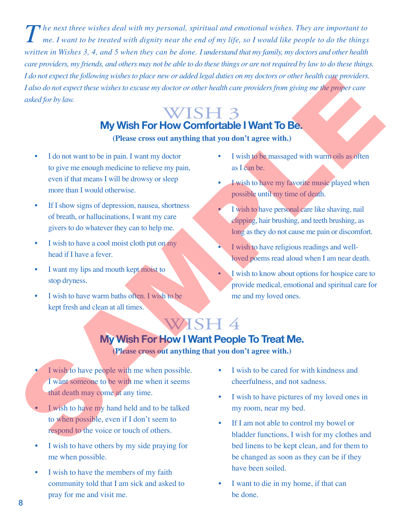*T he next three wishes deal with my personal, spiritual and emotional wishes. They are important to me. I want to be treated with dignity near the end of my life, so I would like people to do the things written in Wishes 3, 4, and 5 when they can be done. I understand that my family, my doctors and other health care providers, my friends, and others may not be able to do these things or are not required by law to do these things. I do not expect the following wishes to place new or added legal duties on my doctors or other health care providers. I also do not expect these wishes to excuse my doctor or other health care providers from giving me the proper care asked for by law.* Final one operation powerful and the state of the state of the state of the state of the state of the state of the state of the state of the state of the state of the state of the state of the state of the state of the sta

#### WISH 3

#### **My Wish For How Comfortable I Want To Be.**

**(Please cross out anything that you don't agree with.)**

- I do not want to be in pain. I want my doctor to give me enough medicine to relieve my pain, even if that means I will be drowsy or sleep more than I would otherwise.
- If I show signs of depression, nausea, shortness of breath, or hallucinations, I want my care givers to do whatever they can to help me.
- I wish to have a cool moist cloth put on my head if I have a fever.
- I want my lips and mouth kept moist to stop dryness.
- I wish to have warm baths often. I wish to be kept fresh and clean at all times.
- I wish to be massaged with warm oils as often as I can be.
- **I** wish to have my favorite music played when possible until my time of death.
	- I wish to have personal care like shaving, nail clipping, hair brushing, and teeth brushing, as long as they do not cause me pain or discomfort.
- I wish to have religious readings and wellloved poems read aloud when I am near death.
	- I wish to know about options for hospice care to provide medical, emotional and spiritual care for me and my loved ones.

### WISH 4

#### **My Wish For How I Want People To Treat Me. (Please cross out anything that you don't agree with.)**

- I wish to have people with me when possible. I want someone to be with me when it seems that death may come at any time.
- I wish to have my hand held and to be talked to when possible, even if I don't seem to respond to the voice or touch of others.
- I wish to have others by my side praying for me when possible.
- I wish to have the members of my faith community told that I am sick and asked to pray for me and visit me.
- I wish to be cared for with kindness and cheerfulness, and not sadness.
- I wish to have pictures of my loved ones in my room, near my bed.
- If I am not able to control my bowel or bladder functions, I wish for my clothes and bed linens to be kept clean, and for them to be changed as soon as they can be if they have been soiled.
- I want to die in my home, if that can be done.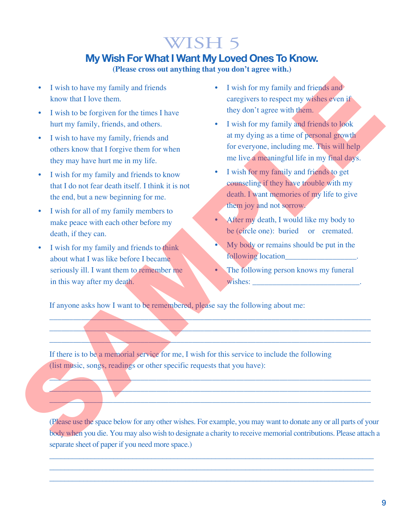#### WISH<sub>5</sub>

#### **My Wish For What I Want My Loved Ones To Know.**

**(Please cross out anything that you don't agree with.)**

- I wish to have my family and friends know that I love them.
- I wish to be forgiven for the times I have hurt my family, friends, and others.
- I wish to have my family, friends and others know that I forgive them for when they may have hurt me in my life.
- I wish for my family and friends to know that I do not fear death itself. I think it is not the end, but a new beginning for me.
- I wish for all of my family members to make peace with each other before my death, if they can.
- I wish for my family and friends to think about what I was like before I became seriously ill. I want them to remember me in this way after my death.
- I wish for my family and friends and caregivers to respect my wishes even if they don't agree with them.
- I wish for my family and friends to look at my dying as a time of personal growth for everyone, including me. This will help me live a meaningful life in my final days.
- I wish for my family and friends to get counseling if they have trouble with my death. I want memories of my life to give them joy and not sorrow.
- After my death, I would like my body to be (circle one): buried or cremated.
- My body or remains should be put in the following location the contract of the contract of the contract of the contract of the contract of the contract of the contract of the contract of the contract of the contract of the contract of the contract of the contrac
- The following person knows my funeral wishes:

If anyone asks how I want to be remembered, please say the following about me:

If there is to be a memorial service for me, I wish for this service to include the following (list music, songs, readings or other specific requests that you have):

 $\mathcal{L} = \{ \mathcal{L} \mid \mathcal{L} \in \mathcal{L} \}$  , where  $\mathcal{L} = \{ \mathcal{L} \mid \mathcal{L} \in \mathcal{L} \}$  , where  $\mathcal{L} = \{ \mathcal{L} \mid \mathcal{L} \in \mathcal{L} \}$ \_\_\_\_\_\_\_\_\_\_\_\_\_\_\_\_\_\_\_\_\_\_\_\_\_\_\_\_\_\_\_\_\_\_\_\_\_\_\_\_\_\_\_\_\_\_\_\_\_\_\_\_\_\_\_\_\_\_\_\_\_\_\_\_\_\_\_\_\_\_\_\_\_\_\_\_\_\_\_\_\_ \_\_\_\_\_\_\_\_\_\_\_\_\_\_\_\_\_\_\_\_\_\_\_\_\_\_\_\_\_\_\_\_\_\_\_\_\_\_\_\_\_\_\_\_\_\_\_\_\_\_\_\_\_\_\_\_\_\_\_\_\_\_\_\_\_\_\_\_\_\_\_\_\_\_\_\_\_\_\_\_\_

 $\mathcal{L}=\{z\in\mathcal{L}^{\mathcal{L}}:z\in\mathcal{L}^{\mathcal{L}}:z\in\mathcal{L}^{\mathcal{L}}:z\in\mathcal{L}^{\mathcal{L}}:z\in\mathcal{L}^{\mathcal{L}}:z\in\mathcal{L}^{\mathcal{L}}:z\in\mathcal{L}^{\mathcal{L}}:z\in\mathcal{L}^{\mathcal{L}}:z\in\mathcal{L}^{\mathcal{L}}:z\in\mathcal{L}^{\mathcal{L}}:z\in\mathcal{L}^{\mathcal{L}}:z\in\mathcal{L}^{\mathcal{L}}:z\in\mathcal{L$  $\mathcal{L} = \{ \mathcal{L} \mid \mathcal{L} \text{ is a constant, } \mathcal{L} \}$  $\mathcal{L}_\mathcal{L} = \mathcal{L}_\mathcal{L}$  , where  $\mathcal{L}_\mathcal{L}$  is the set of the set of the set of the set of the set of the set of the set of the set of the set of the set of the set of the set of the set of the set of the set of th

(Please use the space below for any other wishes. For example, you may want to donate any or all parts of your body when you die. You may also wish to designate a charity to receive memorial contributions. Please attach a separate sheet of paper if you need more space.) Fivish to lave my fomily and friends<br>
throw that Hove then, then the times. They do it agency the finds a source of the propose the specifical state of the propose of the state of the propose of the state of the propose an

 $\_$  , and the set of the set of the set of the set of the set of the set of the set of the set of the set of the set of the set of the set of the set of the set of the set of the set of the set of the set of the set of th  $\_$  , and the state of the state of the state of the state of the state of the state of the state of the state of the state of the state of the state of the state of the state of the state of the state of the state of the  $\_$  , and the state of the state of the state of the state of the state of the state of the state of the state of the state of the state of the state of the state of the state of the state of the state of the state of the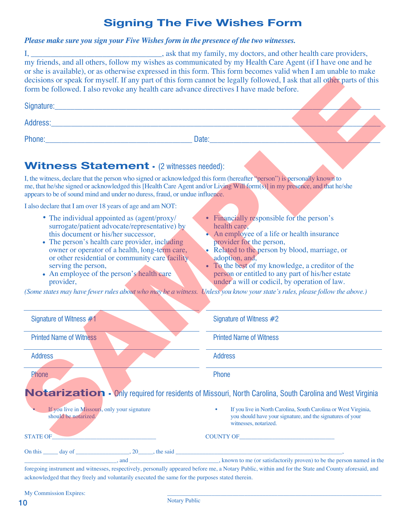#### **Signing The Five Wishes Form**

|                                                                                                                                                                                                                                                                                                                                                                             | my friends, and all others, follow my wishes as communicated by my Health Care Agent (if I have one and he<br>or she is available), or as otherwise expressed in this form. This form becomes valid when I am unable to make<br>decisions or speak for myself. If any part of this form cannot be legally followed, I ask that all other parts of this<br>form be followed. I also revoke any health care advance directives I have made before.                                                  |
|-----------------------------------------------------------------------------------------------------------------------------------------------------------------------------------------------------------------------------------------------------------------------------------------------------------------------------------------------------------------------------|---------------------------------------------------------------------------------------------------------------------------------------------------------------------------------------------------------------------------------------------------------------------------------------------------------------------------------------------------------------------------------------------------------------------------------------------------------------------------------------------------|
| Signature: Management Contractor Contractor Contractor Contractor Contractor Contractor Contractor Contractor                                                                                                                                                                                                                                                               |                                                                                                                                                                                                                                                                                                                                                                                                                                                                                                   |
|                                                                                                                                                                                                                                                                                                                                                                             |                                                                                                                                                                                                                                                                                                                                                                                                                                                                                                   |
| Phone: Date: Date:                                                                                                                                                                                                                                                                                                                                                          |                                                                                                                                                                                                                                                                                                                                                                                                                                                                                                   |
| <b>Witness Statement · (2 witnesses needed):</b>                                                                                                                                                                                                                                                                                                                            | I, the witness, declare that the person who signed or acknowledged this form (hereafter "person") is personally known to                                                                                                                                                                                                                                                                                                                                                                          |
| appears to be of sound mind and under no duress, fraud, or undue influence.                                                                                                                                                                                                                                                                                                 | me, that he/she signed or acknowledged this [Health Care Agent and/or Living Will form(s)] in my presence, and that he/she                                                                                                                                                                                                                                                                                                                                                                        |
| I also declare that I am over 18 years of age and am NOT:                                                                                                                                                                                                                                                                                                                   |                                                                                                                                                                                                                                                                                                                                                                                                                                                                                                   |
| • The individual appointed as (agent/proxy/<br>surrogate/patient advocate/representative) by<br>this document or his/her successor,<br>• The person's health care provider, including<br>owner or operator of a health, long-term care,<br>or other residential or community care facility<br>serving the person,<br>• An employee of the person's health care<br>provider, | • Financially responsible for the person's<br>health care,<br>• An employee of a life or health insurance<br>provider for the person,<br>• Related to the person by blood, marriage, or<br>adoption, and,<br>• To the best of my knowledge, a creditor of the<br>person or entitled to any part of his/her estate<br>under a will or codicil, by operation of law.<br>(Some states may have fewer rules about who may be a witness. Unless you know your state's rules, please follow the above.) |
|                                                                                                                                                                                                                                                                                                                                                                             |                                                                                                                                                                                                                                                                                                                                                                                                                                                                                                   |
| Signature of Witness #1                                                                                                                                                                                                                                                                                                                                                     | Signature of Witness #2                                                                                                                                                                                                                                                                                                                                                                                                                                                                           |
| <b>Printed Name of Witness</b>                                                                                                                                                                                                                                                                                                                                              | <b>Printed Name of Witness</b>                                                                                                                                                                                                                                                                                                                                                                                                                                                                    |
| <b>Address</b>                                                                                                                                                                                                                                                                                                                                                              | <b>Address</b>                                                                                                                                                                                                                                                                                                                                                                                                                                                                                    |
| <b>Phone</b>                                                                                                                                                                                                                                                                                                                                                                | Phone                                                                                                                                                                                                                                                                                                                                                                                                                                                                                             |
|                                                                                                                                                                                                                                                                                                                                                                             | Notarization • Only required for residents of Missouri, North Carolina, South Carolina and West Virginia                                                                                                                                                                                                                                                                                                                                                                                          |
| If you live in Missouri, only your signature<br>should be notarized.                                                                                                                                                                                                                                                                                                        | If you live in North Carolina, South Carolina or West Virginia,<br>$\bullet$<br>you should have your signature, and the signatures of your<br>witnesses, notarized.                                                                                                                                                                                                                                                                                                                               |
| <b>STATE OF_</b>                                                                                                                                                                                                                                                                                                                                                            |                                                                                                                                                                                                                                                                                                                                                                                                                                                                                                   |

| In this | $day$ of | $20^{\circ}$ |
|---------|----------|--------------|

| If you live in North Carolina, South Carolina or West Virgin |
|--------------------------------------------------------------|
| you should have your signature, and the signatures of your   |
| witnesses, notarized.                                        |

| On this | $day \circ f$ | the said |  |
|---------|---------------|----------|--|

\_\_\_\_\_\_\_\_\_\_\_\_\_\_\_\_\_\_\_\_\_\_\_\_\_\_\_\_\_\_\_, and \_\_\_\_\_\_\_\_\_\_\_\_\_\_\_\_\_\_\_\_\_\_\_\_\_\_\_\_\_\_, known to me (or satisfactorily proven) to be the person named in the

foregoing instrument and witnesses, respectively, personally appeared before me, a Notary Public, within and for the State and County aforesaid, and acknowledged that they freely and voluntarily executed the same for the purposes stated therein.

My Commission Expires: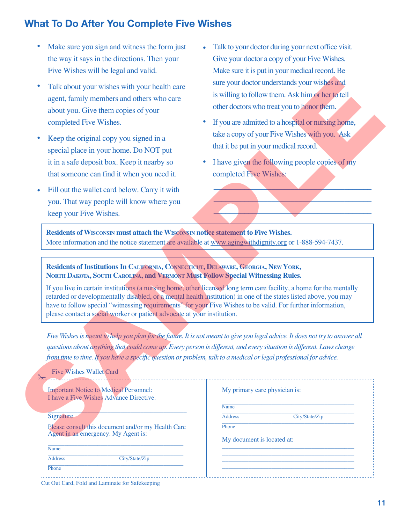#### **What To Do After You Complete Five Wishes**

- Make sure you sign and witness the form just the way it says in the directions. Then your Five Wishes will be legal and valid. •
- Talk about your wishes with your health care agent, family members and others who care about you. Give them copies of your completed Five Wishes. •
- Keep the original copy you signed in a special place in your home. Do NOT put it in a safe deposit box. Keep it nearby so that someone can find it when you need it. •
- Fill out the wallet card below. Carry it with you. That way people will know where you keep your Five Wishes. •
- Talk to your doctor during your next office visit. Give your doctor a copy of your Five Wishes. Make sure it is put in your medical record. Be sure your doctor understands your wishes and is willing to follow them. Ask him or her to tell other doctors who treat you to honor them. •
- If you are admitted to a hospital or nursing home, take a copy of your Five Wishes with you. Ask that it be put in your medical record. •
- I have given the following people copies of my completed Five Wishes: •

|  | <b>Five Wishes Wallet Card</b>                 |  |
|--|------------------------------------------------|--|
|  | $0.1$ . The contract of the contract of $\sim$ |  |

| Talk about your wishes with your health care<br>agent, family members and others who care<br>about you. Give them copies of your                                                                                                                                                                                               | sure your doctor understands your wishes and<br>is willing to follow them. Ask him or her to tell<br>other doctors who treat you to honor them.                                                                                                                                                                                                                                                                                                                                                                                                                                                                   |
|--------------------------------------------------------------------------------------------------------------------------------------------------------------------------------------------------------------------------------------------------------------------------------------------------------------------------------|-------------------------------------------------------------------------------------------------------------------------------------------------------------------------------------------------------------------------------------------------------------------------------------------------------------------------------------------------------------------------------------------------------------------------------------------------------------------------------------------------------------------------------------------------------------------------------------------------------------------|
| completed Five Wishes.<br>Keep the original copy you signed in a<br>special place in your home. Do NOT put<br>it in a safe deposit box. Keep it nearby so<br>that someone can find it when you need it.<br>Fill out the wallet card below. Carry it with<br>you. That way people will know where you<br>keep your Five Wishes. | If you are admitted to a hospital or nursing home,<br>take a copy of your Five Wishes with you. Ask<br>that it be put in your medical record.<br>I have given the following people copies of my<br>completed Five Wishes:                                                                                                                                                                                                                                                                                                                                                                                         |
| <b>Residents of WISCONSIN must attach the WISCONSIN notice statement to Five Wishes.</b><br>More information and the notice statement are available at www.agingwithdignity.org or 1-888-594-7437.                                                                                                                             |                                                                                                                                                                                                                                                                                                                                                                                                                                                                                                                                                                                                                   |
| NORTH DAKOTA, SOUTH CAROLINA, and VERMONT Must Follow Special Witnessing Rules.                                                                                                                                                                                                                                                | Residents of Institutions In CALIFORNIA, CONNECTICUT, DELAWARE, GEORGIA, NEW YORK,                                                                                                                                                                                                                                                                                                                                                                                                                                                                                                                                |
| please contact a social worker or patient advocate at your institution.<br>from time to time. If you have a specific question or problem, talk to a medical or legal professional for advice.<br><b>Five Wishes Wallet Card</b>                                                                                                | If you live in certain institutions (a nursing home, other licensed long term care facility, a home for the mentally<br>retarded or developmentally disabled, or a mental health institution) in one of the states listed above, you may<br>have to follow special "witnessing requirements" for your Five Wishes to be valid. For further information,<br>Five Wishes is meant to help you plan for the future. It is not meant to give you legal advice. It does not try to answer all<br>questions about anything that could come up. Every person is different, and every situation is different. Laws change |
| <b>Important Notice to Medical Personnel:</b><br>I have a Five Wishes Advance Directive.                                                                                                                                                                                                                                       | My primary care physician is:                                                                                                                                                                                                                                                                                                                                                                                                                                                                                                                                                                                     |
| <b>Signature</b><br>Please consult this document and/or my Health Care<br>Agent in an emergency. My Agent is:<br><b>Name</b>                                                                                                                                                                                                   | Name<br>City/State/Zip<br><b>Address</b><br>Phone<br>My document is located at:                                                                                                                                                                                                                                                                                                                                                                                                                                                                                                                                   |

Cut Out Card, Fold and Laminate for Safekeeping